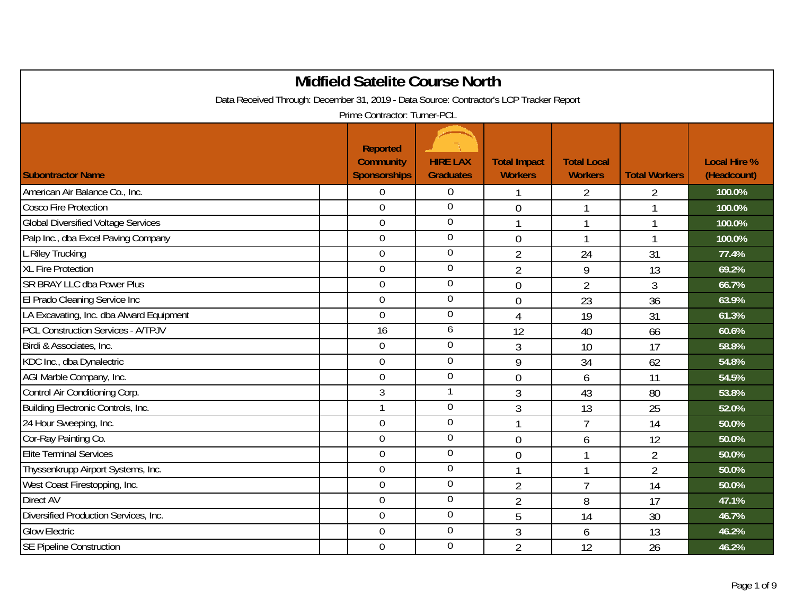|                                                                                         | <b>Midfield Satelite Course North</b>                      |                                     |                                       |                                      |                      |                                    |
|-----------------------------------------------------------------------------------------|------------------------------------------------------------|-------------------------------------|---------------------------------------|--------------------------------------|----------------------|------------------------------------|
| Data Received Through: December 31, 2019 - Data Source: Contractor's LCP Tracker Report |                                                            |                                     |                                       |                                      |                      |                                    |
|                                                                                         | Prime Contractor: Turner-PCL                               |                                     |                                       |                                      |                      |                                    |
| <b>Subontractor Name</b>                                                                | <b>Reported</b><br><b>Community</b><br><b>Sponsorships</b> | <b>HIRE LAX</b><br><b>Graduates</b> | <b>Total Impact</b><br><b>Workers</b> | <b>Total Local</b><br><b>Workers</b> | <b>Total Workers</b> | <b>Local Hire %</b><br>(Headcount) |
| American Air Balance Co., Inc.                                                          | 0                                                          | $\boldsymbol{0}$                    |                                       | $\overline{2}$                       | $\overline{2}$       | 100.0%                             |
| <b>Cosco Fire Protection</b>                                                            | 0                                                          | $\boldsymbol{0}$                    | $\overline{0}$                        | 1                                    |                      | 100.0%                             |
| <b>Global Diversified Voltage Services</b>                                              | $\mathbf 0$                                                | $\boldsymbol{0}$                    |                                       | $\mathbf{1}$                         |                      | 100.0%                             |
| Palp Inc., dba Excel Paving Company                                                     | $\overline{0}$                                             | $\mathbf 0$                         | $\overline{0}$                        | $\mathbf{1}$                         | 1                    | 100.0%                             |
| L.Riley Trucking                                                                        | 0                                                          | $\boldsymbol{0}$                    | $\overline{2}$                        | 24                                   | 31                   | 77.4%                              |
| <b>XL Fire Protection</b>                                                               | $\mathbf 0$                                                | $\boldsymbol{0}$                    | $\overline{2}$                        | 9                                    | 13                   | 69.2%                              |
| <b>SR BRAY LLC dba Power Plus</b>                                                       | $\Omega$                                                   | $\mathbf 0$                         | $\overline{0}$                        | $\overline{2}$                       | 3                    | 66.7%                              |
| El Prado Cleaning Service Inc                                                           | 0                                                          | $\mathbf 0$                         | $\mathbf 0$                           | 23                                   | 36                   | 63.9%                              |
| LA Excavating, Inc. dba Alward Equipment                                                | $\overline{0}$                                             | $\boldsymbol{0}$                    | $\overline{4}$                        | 19                                   | 31                   | 61.3%                              |
| <b>PCL Construction Services - A/TPJV</b>                                               | 16                                                         | 6                                   | 12                                    | 40                                   | 66                   | 60.6%                              |
| Birdi & Associates, Inc.                                                                | $\overline{0}$                                             | $\boldsymbol{0}$                    | 3                                     | 10                                   | 17                   | 58.8%                              |
| KDC Inc., dba Dynalectric                                                               | $\overline{0}$                                             | $\mathbf 0$                         | 9                                     | 34                                   | 62                   | 54.8%                              |
| AGI Marble Company, Inc.                                                                | 0                                                          | $\boldsymbol{0}$                    | $\overline{0}$                        | 6                                    | 11                   | 54.5%                              |
| Control Air Conditioning Corp.                                                          | 3                                                          | $\mathbf{1}$                        | 3                                     | 43                                   | 80                   | 53.8%                              |
| Building Electronic Controls, Inc.                                                      | $\mathbf{1}$                                               | $\mathbf 0$                         | 3                                     | 13                                   | 25                   | 52.0%                              |
| 24 Hour Sweeping, Inc.                                                                  | 0                                                          | $\boldsymbol{0}$                    | $\mathbf{1}$                          | $\overline{7}$                       | 14                   | 50.0%                              |
| Cor-Ray Painting Co.                                                                    | $\mathbf 0$                                                | $\boldsymbol{0}$                    | $\overline{0}$                        | 6                                    | 12                   | 50.0%                              |
| <b>Elite Terminal Services</b>                                                          | $\overline{0}$                                             | $\mathbf 0$                         | $\overline{0}$                        | $\mathbf{1}$                         | $\overline{2}$       | 50.0%                              |
| Thyssenkrupp Airport Systems, Inc.                                                      | 0                                                          | $\mathbf 0$                         |                                       | $\mathbf{1}$                         | $\overline{2}$       | 50.0%                              |
| West Coast Firestopping, Inc.                                                           | $\overline{0}$                                             | $\mathbf 0$                         | $\overline{2}$                        | $\overline{7}$                       | 14                   | 50.0%                              |
| <b>Direct AV</b>                                                                        | 0                                                          | $\mathbf 0$                         | $\overline{2}$                        | 8                                    | 17                   | 47.1%                              |
| Diversified Production Services, Inc.                                                   | $\overline{0}$                                             | $\boldsymbol{0}$                    | 5                                     | 14                                   | 30                   | 46.7%                              |
| <b>Glow Electric</b>                                                                    | $\overline{0}$                                             | $\overline{0}$                      | 3                                     | 6                                    | 13                   | 46.2%                              |
| <b>SE Pipeline Construction</b>                                                         | $\boldsymbol{0}$                                           | $\theta$                            | $\overline{2}$                        | 12                                   | 26                   | 46.2%                              |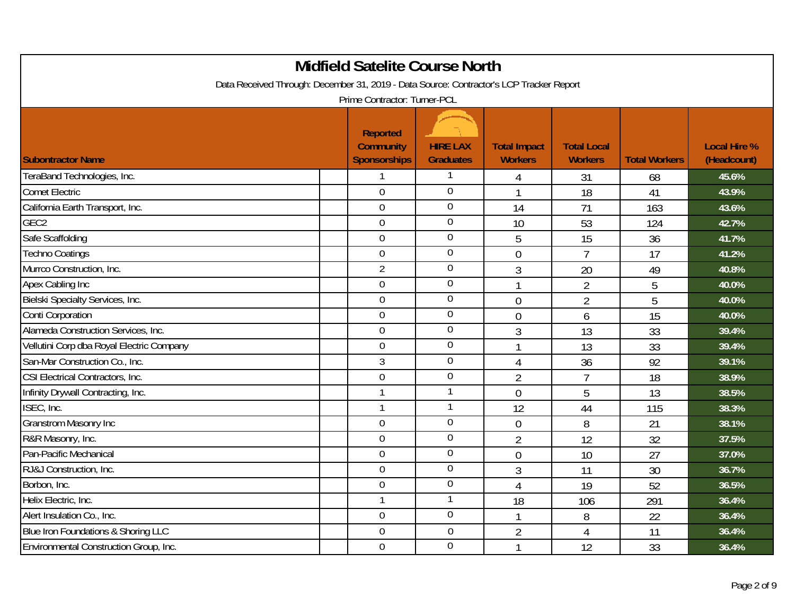|                                                                                         | <b>Midfield Satelite Course North</b>                      |                                     |                                       |                                      |                      |                                    |
|-----------------------------------------------------------------------------------------|------------------------------------------------------------|-------------------------------------|---------------------------------------|--------------------------------------|----------------------|------------------------------------|
| Data Received Through: December 31, 2019 - Data Source: Contractor's LCP Tracker Report |                                                            |                                     |                                       |                                      |                      |                                    |
|                                                                                         | Prime Contractor: Turner-PCL                               |                                     |                                       |                                      |                      |                                    |
| <b>Subontractor Name</b>                                                                | <b>Reported</b><br><b>Community</b><br><b>Sponsorships</b> | <b>HIRE LAX</b><br><b>Graduates</b> | <b>Total Impact</b><br><b>Workers</b> | <b>Total Local</b><br><b>Workers</b> | <b>Total Workers</b> | <b>Local Hire %</b><br>(Headcount) |
| TeraBand Technologies, Inc.                                                             | 1                                                          | 1                                   | 4                                     | 31                                   | 68                   | 45.6%                              |
| Comet Electric                                                                          | 0                                                          | $\overline{0}$                      | 1                                     | 18                                   | 41                   | 43.9%                              |
| California Earth Transport, Inc.                                                        | 0                                                          | $\overline{0}$                      | 14                                    | 71                                   | 163                  | 43.6%                              |
| GEC <sub>2</sub>                                                                        | $\overline{0}$                                             | $\overline{0}$                      | 10                                    | 53                                   | 124                  | 42.7%                              |
| Safe Scaffolding                                                                        | $\overline{0}$                                             | $\overline{0}$                      | 5                                     | 15                                   | 36                   | 41.7%                              |
| <b>Techno Coatings</b>                                                                  | $\overline{0}$                                             | $\overline{0}$                      | $\overline{0}$                        | $\overline{7}$                       | 17                   | 41.2%                              |
| Murrco Construction, Inc.                                                               | $\overline{2}$                                             | $\boldsymbol{0}$                    | $\overline{3}$                        | 20                                   | 49                   | 40.8%                              |
| Apex Cabling Inc                                                                        | $\overline{0}$                                             | $\mathbf 0$                         | $\mathbf{1}$                          | $\overline{2}$                       | 5                    | 40.0%                              |
| Bielski Specialty Services, Inc.                                                        | 0                                                          | $\boldsymbol{0}$                    | $\overline{0}$                        | $\overline{2}$                       | 5                    | 40.0%                              |
| Conti Corporation                                                                       | $\overline{0}$                                             | $\overline{0}$                      | $\overline{0}$                        | 6                                    | 15                   | 40.0%                              |
| Alameda Construction Services, Inc.                                                     | 0                                                          | $\boldsymbol{0}$                    | $\mathfrak{Z}$                        | 13                                   | 33                   | 39.4%                              |
| Vellutini Corp dba Royal Electric Company                                               | $\mathbf 0$                                                | $\mathbf 0$                         | 1                                     | 13                                   | 33                   | 39.4%                              |
| San-Mar Construction Co., Inc.                                                          | $\overline{3}$                                             | $\overline{0}$                      | $\overline{4}$                        | 36                                   | 92                   | 39.1%                              |
| CSI Electrical Contractors, Inc.                                                        | $\mathbf 0$                                                | $\boldsymbol{0}$                    | $\overline{2}$                        | $\overline{7}$                       | 18                   | 38.9%                              |
| Infinity Drywall Contracting, Inc.                                                      | 1                                                          | 1                                   | $\mathbf 0$                           | 5                                    | 13                   | 38.5%                              |
| ISEC, Inc.                                                                              | $\mathbf{1}$                                               | $\mathbf{1}$                        | 12                                    | 44                                   | 115                  | 38.3%                              |
| <b>Granstrom Masonry Inc</b>                                                            | $\overline{0}$                                             | $\overline{0}$                      | $\mathbf 0$                           | 8                                    | 21                   | 38.1%                              |
| R&R Masonry, Inc.                                                                       | 0                                                          | $\boldsymbol{0}$                    | $\overline{2}$                        | 12                                   | 32                   | 37.5%                              |
| Pan-Pacific Mechanical                                                                  | $\mathbf 0$                                                | $\boldsymbol{0}$                    | $\overline{0}$                        | 10                                   | 27                   | 37.0%                              |
| RJ&J Construction, Inc.                                                                 | $\overline{0}$                                             | $\mathbf 0$                         | $\mathfrak{Z}$                        | 11                                   | 30                   | 36.7%                              |
| Borbon, Inc.                                                                            | 0                                                          | $\mathbf 0$                         | $\overline{4}$                        | 19                                   | 52                   | 36.5%                              |
| Helix Electric, Inc.                                                                    |                                                            | 1                                   | 18                                    | 106                                  | 291                  | 36.4%                              |
| Alert Insulation Co., Inc.                                                              | $\mathbf 0$                                                | $\boldsymbol{0}$                    | $\mathbf 1$                           | 8                                    | 22                   | 36.4%                              |
| Blue Iron Foundations & Shoring LLC                                                     | 0                                                          | $\overline{0}$                      | $\overline{2}$                        | $\overline{4}$                       | 11                   | 36.4%                              |
| Environmental Construction Group, Inc.                                                  | $\mathbf 0$                                                | $\overline{0}$                      |                                       | 12                                   | 33                   | 36.4%                              |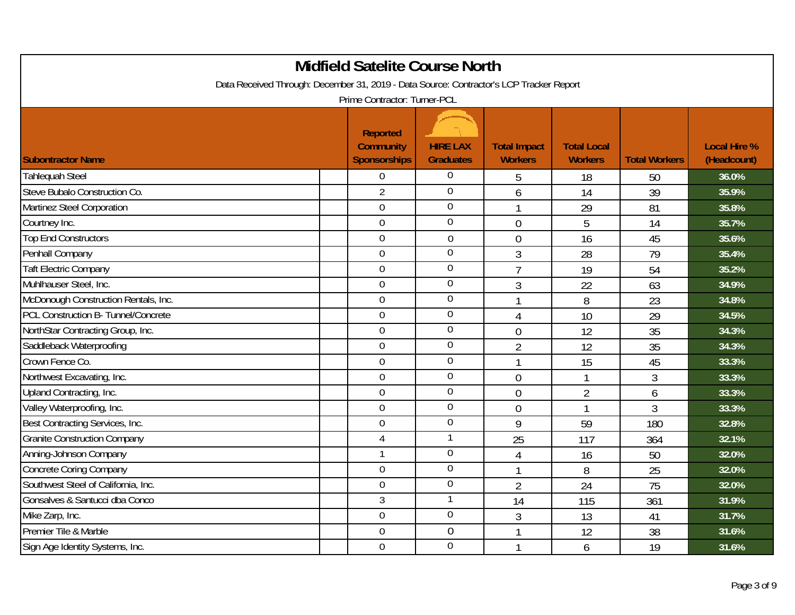|                                                                                         | <b>Midfield Satelite Course North</b>                      |                                     |                                       |                                      |                      |                                    |
|-----------------------------------------------------------------------------------------|------------------------------------------------------------|-------------------------------------|---------------------------------------|--------------------------------------|----------------------|------------------------------------|
| Data Received Through: December 31, 2019 - Data Source: Contractor's LCP Tracker Report | Prime Contractor: Turner-PCL                               |                                     |                                       |                                      |                      |                                    |
| <b>Subontractor Name</b>                                                                | <b>Reported</b><br><b>Community</b><br><b>Sponsorships</b> | <b>HIRE LAX</b><br><b>Graduates</b> | <b>Total Impact</b><br><b>Workers</b> | <b>Total Local</b><br><b>Workers</b> | <b>Total Workers</b> | <b>Local Hire %</b><br>(Headcount) |
| <b>Tahlequah Steel</b>                                                                  | 0                                                          | $\boldsymbol{0}$                    | 5                                     | 18                                   | 50                   | 36.0%                              |
| Steve Bubalo Construction Co.                                                           | $\overline{2}$                                             | $\overline{0}$                      | 6                                     | 14                                   | 39                   | 35.9%                              |
| Martinez Steel Corporation                                                              | $\overline{0}$                                             | $\overline{0}$                      | $\mathbf{1}$                          | 29                                   | 81                   | 35.8%                              |
| Courtney Inc.                                                                           | $\boldsymbol{0}$                                           | $\overline{0}$                      | $\overline{0}$                        | 5                                    | 14                   | 35.7%                              |
| <b>Top End Constructors</b>                                                             | $\overline{0}$                                             | $\boldsymbol{0}$                    | $\overline{0}$                        | 16                                   | 45                   | 35.6%                              |
| Penhall Company                                                                         | $\overline{0}$                                             | $\overline{0}$                      | 3                                     | 28                                   | 79                   | 35.4%                              |
| <b>Taft Electric Company</b>                                                            | $\boldsymbol{0}$                                           | $\boldsymbol{0}$                    | $\overline{7}$                        | 19                                   | 54                   | 35.2%                              |
| Muhlhauser Steel, Inc.                                                                  | $\overline{0}$                                             | $\boldsymbol{0}$                    | $\overline{3}$                        | 22                                   | 63                   | 34.9%                              |
| McDonough Construction Rentals, Inc.                                                    | $\overline{0}$                                             | $\boldsymbol{0}$                    | 1                                     | 8                                    | 23                   | 34.8%                              |
| PCL Construction B- Tunnel/Concrete                                                     | $\overline{0}$                                             | $\overline{0}$                      | $\overline{4}$                        | 10                                   | 29                   | 34.5%                              |
| NorthStar Contracting Group, Inc.                                                       | $\overline{0}$                                             | $\boldsymbol{0}$                    | $\overline{0}$                        | 12                                   | 35                   | 34.3%                              |
| Saddleback Waterproofing                                                                | $\overline{0}$                                             | $\overline{0}$                      | $\overline{2}$                        | 12                                   | 35                   | 34.3%                              |
| Crown Fence Co.                                                                         | $\overline{0}$                                             | $\boldsymbol{0}$                    | $\mathbf{1}$                          | 15                                   | 45                   | 33.3%                              |
| Northwest Excavating, Inc.                                                              | $\overline{0}$                                             | $\mathbf 0$                         | $\overline{0}$                        | 1                                    | 3                    | 33.3%                              |
| Upland Contracting, Inc.                                                                | $\overline{0}$                                             | $\boldsymbol{0}$                    | $\mathbf 0$                           | $\overline{2}$                       | 6                    | 33.3%                              |
| Valley Waterproofing, Inc.                                                              | $\overline{0}$                                             | $\mathbf 0$                         | $\overline{0}$                        | $\mathbf{1}$                         | 3                    | 33.3%                              |
| Best Contracting Services, Inc.                                                         | $\overline{0}$                                             | $\mathbf 0$                         | 9                                     | 59                                   | 180                  | 32.8%                              |
| <b>Granite Construction Company</b>                                                     | 4                                                          | 1                                   | 25                                    | 117                                  | 364                  | 32.1%                              |
| Anning-Johnson Company                                                                  | $\mathbf{1}$                                               | $\boldsymbol{0}$                    | $\overline{4}$                        | 16                                   | 50                   | 32.0%                              |
| Concrete Coring Company                                                                 | $\mathbf 0$                                                | $\boldsymbol{0}$                    | 1                                     | 8                                    | 25                   | 32.0%                              |
| Southwest Steel of California, Inc.                                                     | $\overline{0}$                                             | $\mathbf 0$                         | $\overline{2}$                        | 24                                   | 75                   | 32.0%                              |
| Gonsalves & Santucci dba Conco                                                          | $\mathfrak{Z}$                                             | $\mathbf{1}$                        | 14                                    | 115                                  | 361                  | 31.9%                              |
| Mike Zarp, Inc.                                                                         | $\overline{0}$                                             | $\mathbf 0$                         | 3                                     | 13                                   | 41                   | 31.7%                              |
| Premier Tile & Marble                                                                   | $\overline{0}$                                             | $\mathbf 0$                         | $\mathbf{1}$                          | 12                                   | 38                   | 31.6%                              |
| Sign Age Identity Systems, Inc.                                                         | $\Omega$                                                   | $\overline{0}$                      | 1                                     | 6                                    | 19                   | 31.6%                              |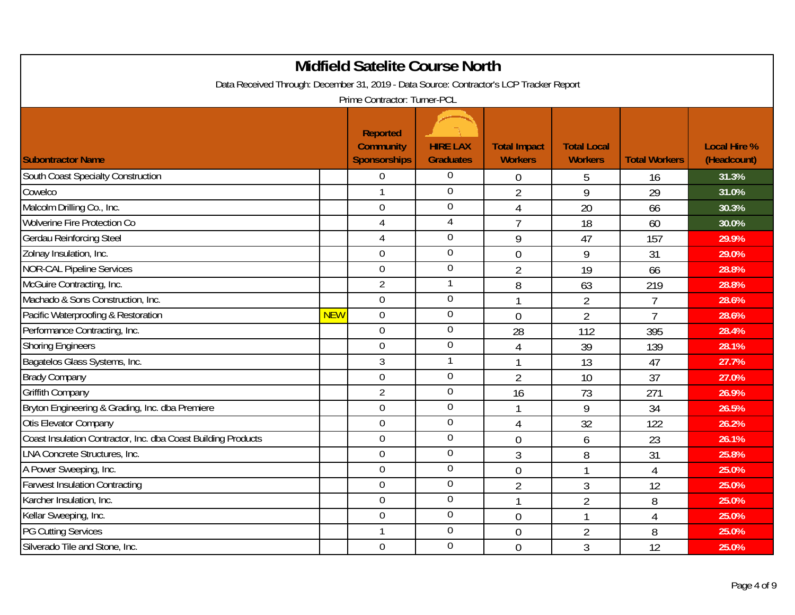|                                                                                         |            | <b>Midfield Satelite Course North</b>                      |                                     |                                       |                                      |                      |                                    |
|-----------------------------------------------------------------------------------------|------------|------------------------------------------------------------|-------------------------------------|---------------------------------------|--------------------------------------|----------------------|------------------------------------|
| Data Received Through: December 31, 2019 - Data Source: Contractor's LCP Tracker Report |            | Prime Contractor: Turner-PCL                               |                                     |                                       |                                      |                      |                                    |
| <b>Subontractor Name</b>                                                                |            | <b>Reported</b><br><b>Community</b><br><b>Sponsorships</b> | <b>HIRE LAX</b><br><b>Graduates</b> | <b>Total Impact</b><br><b>Workers</b> | <b>Total Local</b><br><b>Workers</b> | <b>Total Workers</b> | <b>Local Hire %</b><br>(Headcount) |
| South Coast Specialty Construction                                                      |            | $\overline{0}$                                             | 0                                   | $\boldsymbol{0}$                      | 5                                    | 16                   | 31.3%                              |
| Cowelco                                                                                 |            | $\mathbf{1}$                                               | $\boldsymbol{0}$                    | $\overline{2}$                        | 9                                    | 29                   | 31.0%                              |
| Malcolm Drilling Co., Inc.                                                              |            | $\overline{0}$                                             | $\overline{0}$                      | $\overline{4}$                        | 20                                   | 66                   | 30.3%                              |
| <b>Wolverine Fire Protection Co</b>                                                     |            | 4                                                          | 4                                   | $\overline{7}$                        | 18                                   | 60                   | 30.0%                              |
| <b>Gerdau Reinforcing Steel</b>                                                         |            | 4                                                          | $\mathbf 0$                         | 9                                     | 47                                   | 157                  | 29.9%                              |
| Zolnay Insulation, Inc.                                                                 |            | $\overline{0}$                                             | $\mathbf 0$                         | $\overline{0}$                        | 9                                    | 31                   | 29.0%                              |
| <b>NOR-CAL Pipeline Services</b>                                                        |            | $\overline{0}$                                             | $\mathbf 0$                         | $\overline{2}$                        | 19                                   | 66                   | 28.8%                              |
| McGuire Contracting, Inc.                                                               |            | $\overline{2}$                                             | $\mathbf{1}$                        | 8                                     | 63                                   | 219                  | 28.8%                              |
| Machado & Sons Construction, Inc.                                                       |            | $\overline{0}$                                             | $\boldsymbol{0}$                    | 1                                     | $\overline{2}$                       | $\overline{7}$       | 28.6%                              |
| Pacific Waterproofing & Restoration                                                     | <b>NEW</b> | $\overline{0}$                                             | $\overline{0}$                      | $\overline{0}$                        | $\overline{2}$                       | $\overline{7}$       | 28.6%                              |
| Performance Contracting, Inc.                                                           |            | $\overline{0}$                                             | $\mathbf 0$                         | 28                                    | 112                                  | 395                  | 28.4%                              |
| <b>Shoring Engineers</b>                                                                |            | $\overline{0}$                                             | $\overline{0}$                      | $\overline{4}$                        | 39                                   | 139                  | 28.1%                              |
| Bagatelos Glass Systems, Inc.                                                           |            | 3                                                          | $\mathbf{1}$                        | $\mathbf{1}$                          | 13                                   | 47                   | 27.7%                              |
| <b>Brady Company</b>                                                                    |            | $\boldsymbol{0}$                                           | $\overline{0}$                      | $\overline{2}$                        | 10                                   | 37                   | 27.0%                              |
| <b>Griffith Company</b>                                                                 |            | $\overline{2}$                                             | $\overline{0}$                      | 16                                    | 73                                   | 271                  | 26.9%                              |
| Bryton Engineering & Grading, Inc. dba Premiere                                         |            | $\mathbf 0$                                                | $\mathbf 0$                         | 1                                     | 9                                    | 34                   | 26.5%                              |
| Otis Elevator Company                                                                   |            | $\overline{0}$                                             | $\mathbf 0$                         | $\overline{4}$                        | 32                                   | 122                  | 26.2%                              |
| Coast Insulation Contractor, Inc. dba Coast Building Products                           |            | $\mathbf 0$                                                | $\mathbf 0$                         | $\overline{0}$                        | 6                                    | 23                   | 26.1%                              |
| <b>LNA Concrete Structures, Inc.</b>                                                    |            | $\overline{0}$                                             | $\mathbf 0$                         | 3                                     | 8                                    | 31                   | 25.8%                              |
| A Power Sweeping, Inc.                                                                  |            | $\overline{0}$                                             | $\boldsymbol{0}$                    | $\overline{0}$                        | $\mathbf{1}$                         | $\overline{4}$       | 25.0%                              |
| <b>Farwest Insulation Contracting</b>                                                   |            | $\overline{0}$                                             | $\mathbf 0$                         | $\overline{2}$                        | 3                                    | 12                   | 25.0%                              |
| Karcher Insulation, Inc.                                                                |            | $\overline{0}$                                             | $\boldsymbol{0}$                    | $\mathbf{1}$                          | $\overline{2}$                       | 8                    | 25.0%                              |
| Kellar Sweeping, Inc.                                                                   |            | $\overline{0}$                                             | $\boldsymbol{0}$                    | $\overline{0}$                        | 1                                    | $\overline{4}$       | 25.0%                              |
| <b>PG Cutting Services</b>                                                              |            | $\mathbf{1}$                                               | $\overline{0}$                      | $\mathbf 0$                           | $\overline{2}$                       | 8                    | 25.0%                              |
| Silverado Tile and Stone, Inc.                                                          |            | $\boldsymbol{0}$                                           | $\overline{0}$                      | $\overline{0}$                        | 3                                    | 12                   | 25.0%                              |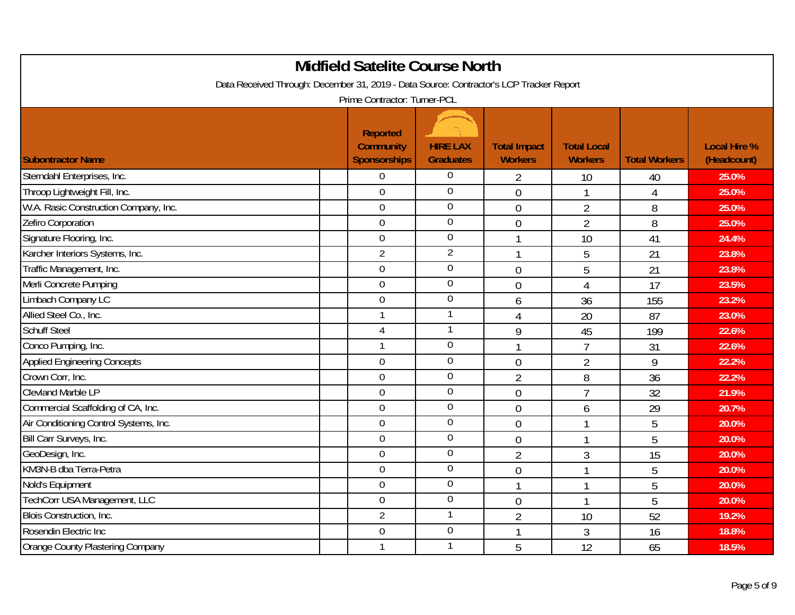|                                                                                         | <b>Midfield Satelite Course North</b>                      |                                     |                                       |                                      |                      |                                    |
|-----------------------------------------------------------------------------------------|------------------------------------------------------------|-------------------------------------|---------------------------------------|--------------------------------------|----------------------|------------------------------------|
| Data Received Through: December 31, 2019 - Data Source: Contractor's LCP Tracker Report | Prime Contractor: Turner-PCL                               |                                     |                                       |                                      |                      |                                    |
| <b>Subontractor Name</b>                                                                | <b>Reported</b><br><b>Community</b><br><b>Sponsorships</b> | <b>HIRE LAX</b><br><b>Graduates</b> | <b>Total Impact</b><br><b>Workers</b> | <b>Total Local</b><br><b>Workers</b> | <b>Total Workers</b> | <b>Local Hire %</b><br>(Headcount) |
| Sterndahl Enterprises, Inc.                                                             | $\overline{0}$                                             | $\boldsymbol{0}$                    | 2                                     | 10                                   | 40                   | 25.0%                              |
| Throop Lightweight Fill, Inc.                                                           | $\overline{0}$                                             | $\overline{0}$                      | $\overline{0}$                        | $\mathbf{1}$                         | $\overline{4}$       | 25.0%                              |
| W.A. Rasic Construction Company, Inc.                                                   | $\overline{0}$                                             | $\overline{0}$                      | $\overline{0}$                        | $\overline{2}$                       | 8                    | 25.0%                              |
| Zefiro Corporation                                                                      | $\overline{0}$                                             | $\overline{0}$                      | $\overline{0}$                        | $\overline{2}$                       | 8                    | 25.0%                              |
| Signature Flooring, Inc.                                                                | $\overline{0}$                                             | $\mathbf 0$                         | 1                                     | 10                                   | 41                   | 24.4%                              |
| Karcher Interiors Systems, Inc.                                                         | $\overline{2}$                                             | $\overline{2}$                      | 1                                     | 5                                    | 21                   | 23.8%                              |
| Traffic Management, Inc.                                                                | $\overline{0}$                                             | $\boldsymbol{0}$                    | $\overline{0}$                        | 5                                    | 21                   | 23.8%                              |
| Merli Concrete Pumping                                                                  | $\mathbf 0$                                                | $\boldsymbol{0}$                    | $\overline{0}$                        | $\overline{4}$                       | 17                   | 23.5%                              |
| Limbach Company LC                                                                      | $\overline{0}$                                             | $\boldsymbol{0}$                    | 6                                     | 36                                   | 155                  | 23.2%                              |
| Allied Steel Co., Inc.                                                                  | $\mathbf{1}$                                               | $\mathbf{1}$                        | $\overline{4}$                        | 20                                   | 87                   | 23.0%                              |
| <b>Schuff Steel</b>                                                                     | $\overline{4}$                                             | $\mathbf{1}$                        | 9                                     | 45                                   | 199                  | 22.6%                              |
| Conco Pumping, Inc.                                                                     | $\mathbf{1}$                                               | $\mathbf 0$                         | 1                                     | $\overline{7}$                       | 31                   | 22.6%                              |
| <b>Applied Engineering Concepts</b>                                                     | $\overline{0}$                                             | $\overline{0}$                      | $\overline{0}$                        | $\overline{2}$                       | 9                    | 22.2%                              |
| Crown Corr, Inc.                                                                        | $\overline{0}$                                             | $\mathbf 0$                         | $\overline{2}$                        | 8                                    | 36                   | 22.2%                              |
| Clevland Marble LP                                                                      | $\overline{0}$                                             | $\overline{0}$                      | $\overline{0}$                        | $\overline{1}$                       | 32                   | 21.9%                              |
| Commercial Scaffolding of CA, Inc.                                                      | $\overline{0}$                                             | $\overline{0}$                      | $\overline{0}$                        | 6                                    | 29                   | 20.7%                              |
| Air Conditioning Control Systems, Inc.                                                  | $\overline{0}$                                             | $\overline{0}$                      | $\overline{0}$                        | 1                                    | 5                    | 20.0%                              |
| Bill Carr Surveys, Inc.                                                                 | $\mathbf 0$                                                | $\mathbf 0$                         | $\overline{0}$                        | $\mathbf{1}$                         | 5                    | 20.0%                              |
| GeoDesign, Inc.                                                                         | $\Omega$                                                   | $\boldsymbol{0}$                    | $\overline{2}$                        | 3                                    | 15                   | 20.0%                              |
| KM3N-B dba Terra-Petra                                                                  | $\mathbf 0$                                                | $\overline{0}$                      | 0                                     | 1                                    | 5                    | 20.0%                              |
| Nold's Equipment                                                                        | $\overline{0}$                                             | $\overline{0}$                      | 1                                     | 1                                    | 5                    | 20.0%                              |
| TechCorr USA Management, LLC                                                            | $\mathbf 0$                                                | $\boldsymbol{0}$                    | $\mathbf 0$                           | $\mathbf{1}$                         | 5                    | 20.0%                              |
| <b>Blois Construction, Inc.</b>                                                         | $\overline{2}$                                             | 1                                   | $\overline{2}$                        | 10                                   | 52                   | 19.2%                              |
| Rosendin Electric Inc                                                                   | $\overline{0}$                                             | $\overline{0}$                      | 1                                     | 3                                    | 16                   | 18.8%                              |
| Orange County Plastering Company                                                        | 1                                                          | 1                                   | 5                                     | 12                                   | 65                   | 18.5%                              |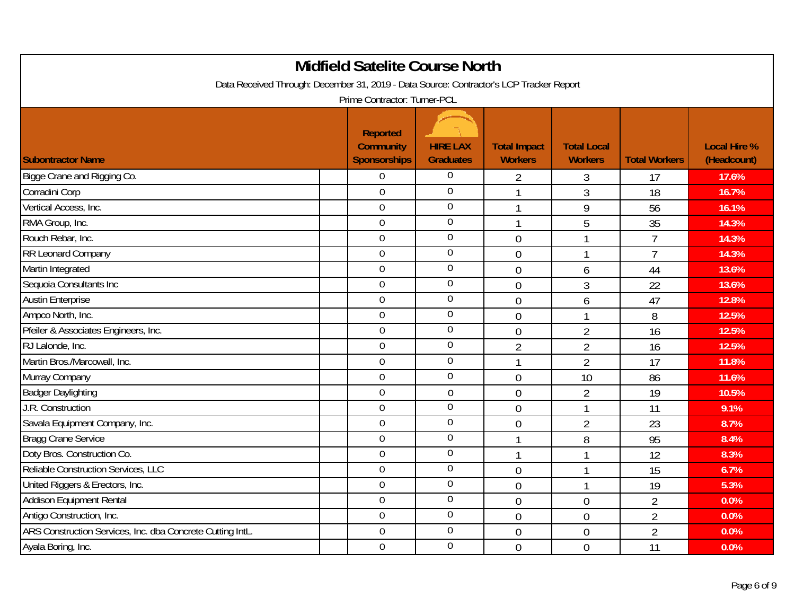|                                                                                         | <b>Midfield Satelite Course North</b>                      |                                     |                                       |                                      |                      |                                    |
|-----------------------------------------------------------------------------------------|------------------------------------------------------------|-------------------------------------|---------------------------------------|--------------------------------------|----------------------|------------------------------------|
| Data Received Through: December 31, 2019 - Data Source: Contractor's LCP Tracker Report | Prime Contractor: Turner-PCL                               |                                     |                                       |                                      |                      |                                    |
| <b>Subontractor Name</b>                                                                | <b>Reported</b><br><b>Community</b><br><b>Sponsorships</b> | <b>HIRE LAX</b><br><b>Graduates</b> | <b>Total Impact</b><br><b>Workers</b> | <b>Total Local</b><br><b>Workers</b> | <b>Total Workers</b> | <b>Local Hire %</b><br>(Headcount) |
| Bigge Crane and Rigging Co.                                                             | 0                                                          | $\boldsymbol{0}$                    | 2                                     | 3                                    | 17                   | 17.6%                              |
| Corradini Corp                                                                          | $\overline{0}$                                             | $\overline{0}$                      | $\mathbf{1}$                          | 3                                    | 18                   | 16.7%                              |
| Vertical Access, Inc.                                                                   | $\overline{0}$                                             | $\overline{0}$                      | 1                                     | 9                                    | 56                   | 16.1%                              |
| RMA Group, Inc.                                                                         | $\mathbf 0$                                                | $\overline{0}$                      | 1                                     | 5                                    | 35                   | 14.3%                              |
| Rouch Rebar, Inc.                                                                       | $\overline{0}$                                             | $\mathbf 0$                         | $\overline{0}$                        | $\mathbf{1}$                         | $\overline{7}$       | 14.3%                              |
| RR Leonard Company                                                                      | $\overline{0}$                                             | $\overline{0}$                      | $\overline{0}$                        | 1                                    | $\overline{7}$       | 14.3%                              |
| Martin Integrated                                                                       | $\mathbf 0$                                                | $\boldsymbol{0}$                    | $\mathbf 0$                           | 6                                    | 44                   | 13.6%                              |
| Sequoia Consultants Inc                                                                 | $\overline{0}$                                             | $\boldsymbol{0}$                    | $\mathbf 0$                           | 3                                    | 22                   | 13.6%                              |
| <b>Austin Enterprise</b>                                                                | $\mathbf 0$                                                | $\boldsymbol{0}$                    | $\overline{0}$                        | 6                                    | 47                   | 12.8%                              |
| Ampco North, Inc.                                                                       | $\overline{0}$                                             | $\mathbf 0$                         | $\overline{0}$                        | $\mathbf{1}$                         | 8                    | 12.5%                              |
| Pfeiler & Associates Engineers, Inc.                                                    | $\boldsymbol{0}$                                           | $\boldsymbol{0}$                    | $\overline{0}$                        | $\overline{2}$                       | 16                   | 12.5%                              |
| RJ Lalonde, Inc.                                                                        | $\overline{0}$                                             | $\overline{0}$                      | $\overline{2}$                        | $\overline{2}$                       | 16                   | 12.5%                              |
| Martin Bros./Marcowall, Inc.                                                            | $\overline{0}$                                             | $\boldsymbol{0}$                    | 1                                     | $\overline{2}$                       | 17                   | 11.8%                              |
| Murray Company                                                                          | $\boldsymbol{0}$                                           | $\mathbf 0$                         | $\overline{0}$                        | 10                                   | 86                   | 11.6%                              |
| <b>Badger Daylighting</b>                                                               | $\overline{0}$                                             | $\boldsymbol{0}$                    | $\mathbf 0$                           | $\overline{2}$                       | 19                   | 10.5%                              |
| J.R. Construction                                                                       | $\overline{0}$                                             | $\overline{0}$                      | $\overline{0}$                        | 1                                    | 11                   | 9.1%                               |
| Savala Equipment Company, Inc.                                                          | $\overline{0}$                                             | $\mathbf 0$                         | $\overline{0}$                        | $\overline{2}$                       | 23                   | 8.7%                               |
| <b>Bragg Crane Service</b>                                                              | $\overline{0}$                                             | $\mathbf 0$                         | 1                                     | 8                                    | 95                   | 8.4%                               |
| Doty Bros. Construction Co.                                                             | $\overline{0}$                                             | $\boldsymbol{0}$                    | 1                                     | 1                                    | 12                   | 8.3%                               |
| Reliable Construction Services, LLC                                                     | $\mathbf 0$                                                | $\boldsymbol{0}$                    | $\overline{0}$                        | $\mathbf{1}$                         | 15                   | 6.7%                               |
| United Riggers & Erectors, Inc.                                                         | $\overline{0}$                                             | $\mathbf 0$                         | $\overline{0}$                        | 1                                    | 19                   | 5.3%                               |
| <b>Addison Equipment Rental</b>                                                         | $\mathbf 0$                                                | $\boldsymbol{0}$                    | $\overline{0}$                        | $\overline{0}$                       | $\overline{2}$       | 0.0%                               |
| Antigo Construction, Inc.                                                               | $\overline{0}$                                             | $\mathbf 0$                         | $\mathbf 0$                           | $\mathbf 0$                          | $\overline{2}$       | 0.0%                               |
| ARS Construction Services, Inc. dba Concrete Cutting IntL.                              | $\overline{0}$                                             | $\overline{0}$                      | $\overline{0}$                        | 0                                    | $\overline{2}$       | 0.0%                               |
| Ayala Boring, Inc.                                                                      | $\overline{0}$                                             | $\overline{0}$                      | $\overline{0}$                        | 0                                    | 11                   | 0.0%                               |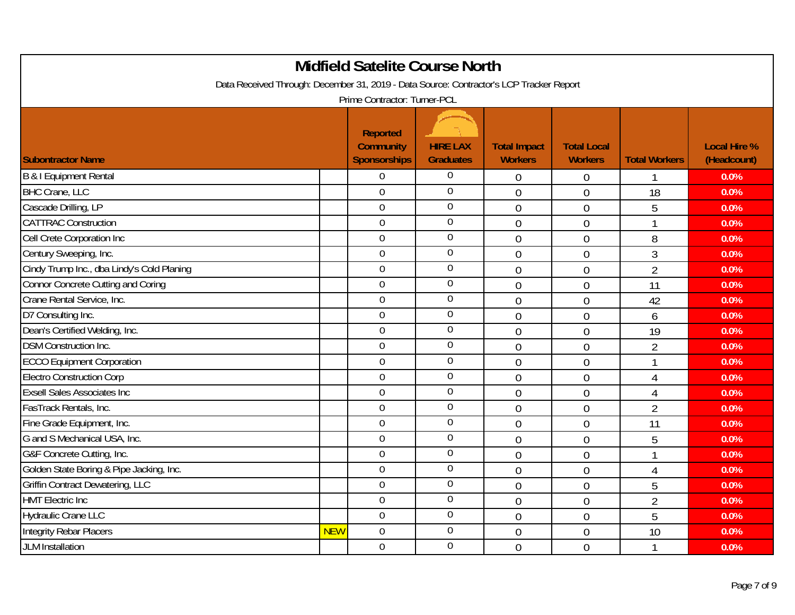|                                                                                         |            | <b>Midfield Satelite Course North</b>                      |                                     |                                       |                                      |                      |                                    |
|-----------------------------------------------------------------------------------------|------------|------------------------------------------------------------|-------------------------------------|---------------------------------------|--------------------------------------|----------------------|------------------------------------|
| Data Received Through: December 31, 2019 - Data Source: Contractor's LCP Tracker Report |            |                                                            |                                     |                                       |                                      |                      |                                    |
|                                                                                         |            | Prime Contractor: Turner-PCL                               |                                     |                                       |                                      |                      |                                    |
| <b>Subontractor Name</b>                                                                |            | <b>Reported</b><br><b>Community</b><br><b>Sponsorships</b> | <b>HIRE LAX</b><br><b>Graduates</b> | <b>Total Impact</b><br><b>Workers</b> | <b>Total Local</b><br><b>Workers</b> | <b>Total Workers</b> | <b>Local Hire %</b><br>(Headcount) |
| B & I Equipment Rental                                                                  |            | $\overline{0}$                                             | $\mathbf 0$                         | $\boldsymbol{0}$                      | $\boldsymbol{0}$                     | 1                    | 0.0%                               |
| <b>BHC Crane, LLC</b>                                                                   |            | $\overline{0}$                                             | $\overline{0}$                      | $\overline{0}$                        | $\mathbf 0$                          | 18                   | 0.0%                               |
| Cascade Drilling, LP                                                                    |            | $\mathbf 0$                                                | $\overline{0}$                      | $\overline{0}$                        | $\overline{0}$                       | 5                    | 0.0%                               |
| <b>CATTRAC Construction</b>                                                             |            | $\overline{0}$                                             | $\boldsymbol{0}$                    | $\mathbf 0$                           | $\mathbf 0$                          |                      | 0.0%                               |
| Cell Crete Corporation Inc                                                              |            | $\overline{0}$                                             | $\boldsymbol{0}$                    | $\overline{0}$                        | $\overline{0}$                       | 8                    | 0.0%                               |
| Century Sweeping, Inc.                                                                  |            | $\overline{0}$                                             | $\overline{0}$                      | $\mathbf 0$                           | $\overline{0}$                       | $\overline{3}$       | 0.0%                               |
| Cindy Trump Inc., dba Lindy's Cold Planing                                              |            | $\mathbf 0$                                                | $\boldsymbol{0}$                    | $\overline{0}$                        | $\mathbf 0$                          | $\overline{2}$       | 0.0%                               |
| Connor Concrete Cutting and Coring                                                      |            | $\overline{0}$                                             | $\mathbf 0$                         | $\overline{0}$                        | $\mathbf 0$                          | 11                   | 0.0%                               |
| Crane Rental Service, Inc.                                                              |            | $\overline{0}$                                             | $\boldsymbol{0}$                    | $\overline{0}$                        | $\overline{0}$                       | 42                   | 0.0%                               |
| D7 Consulting Inc.                                                                      |            | $\overline{0}$                                             | $\overline{0}$                      | $\overline{0}$                        | $\overline{0}$                       | 6                    | 0.0%                               |
| Dean's Certified Welding, Inc.                                                          |            | $\overline{0}$                                             | $\boldsymbol{0}$                    | $\overline{0}$                        | $\overline{0}$                       | 19                   | 0.0%                               |
| <b>DSM Construction Inc.</b>                                                            |            | $\mathbf 0$                                                | $\mathbf 0$                         | $\overline{0}$                        | $\mathbf 0$                          | $\overline{2}$       | 0.0%                               |
| <b>ECCO</b> Equipment Corporation                                                       |            | $\overline{0}$                                             | $\overline{0}$                      | $\mathbf 0$                           | $\mathbf 0$                          | 1                    | 0.0%                               |
| <b>Electro Construction Corp</b>                                                        |            | $\mathbf 0$                                                | $\mathbf 0$                         | $\mathbf 0$                           | $\overline{0}$                       | $\overline{4}$       | 0.0%                               |
| <b>Exsell Sales Associates Inc.</b>                                                     |            | $\overline{0}$                                             | $\overline{0}$                      | $\mathbf 0$                           | $\mathbf 0$                          | $\overline{4}$       | 0.0%                               |
| FasTrack Rentals, Inc.                                                                  |            | $\overline{0}$                                             | $\boldsymbol{0}$                    | $\overline{0}$                        | $\overline{0}$                       | $\overline{2}$       | 0.0%                               |
| Fine Grade Equipment, Inc.                                                              |            | $\overline{0}$                                             | $\mathbf 0$                         | $\overline{0}$                        | $\overline{0}$                       | 11                   | 0.0%                               |
| G and S Mechanical USA, Inc.                                                            |            | $\overline{0}$                                             | $\boldsymbol{0}$                    | $\overline{0}$                        | $\overline{0}$                       | 5                    | 0.0%                               |
| G&F Concrete Cutting, Inc.                                                              |            | $\Omega$                                                   | $\mathbf 0$                         | $\overline{0}$                        | $\overline{0}$                       | 1                    | 0.0%                               |
| Golden State Boring & Pipe Jacking, Inc.                                                |            | $\overline{0}$                                             | $\overline{0}$                      | $\overline{0}$                        | $\overline{0}$                       | $\overline{4}$       | 0.0%                               |
| <b>Griffin Contract Dewatering, LLC</b>                                                 |            | $\mathbf 0$                                                | $\overline{0}$                      | $\mathbf 0$                           | $\mathbf 0$                          | 5                    | 0.0%                               |
| <b>HMT</b> Electric Inc                                                                 |            | $\boldsymbol{0}$                                           | $\overline{0}$                      | $\mathbf 0$                           | $\mathbf 0$                          | $\overline{2}$       | 0.0%                               |
| <b>Hydraulic Crane LLC</b>                                                              |            | $\overline{0}$                                             | $\boldsymbol{0}$                    | $\overline{0}$                        | $\mathbf 0$                          | 5                    | 0.0%                               |
| <b>Integrity Rebar Placers</b>                                                          | <b>NEW</b> | $\overline{0}$                                             | $\overline{0}$                      | $\overline{0}$                        | $\mathbf 0$                          | 10                   | 0.0%                               |
| <b>JLM</b> Installation                                                                 |            | $\mathbf 0$                                                | $\overline{0}$                      | $\overline{0}$                        | $\overline{0}$                       |                      | 0.0%                               |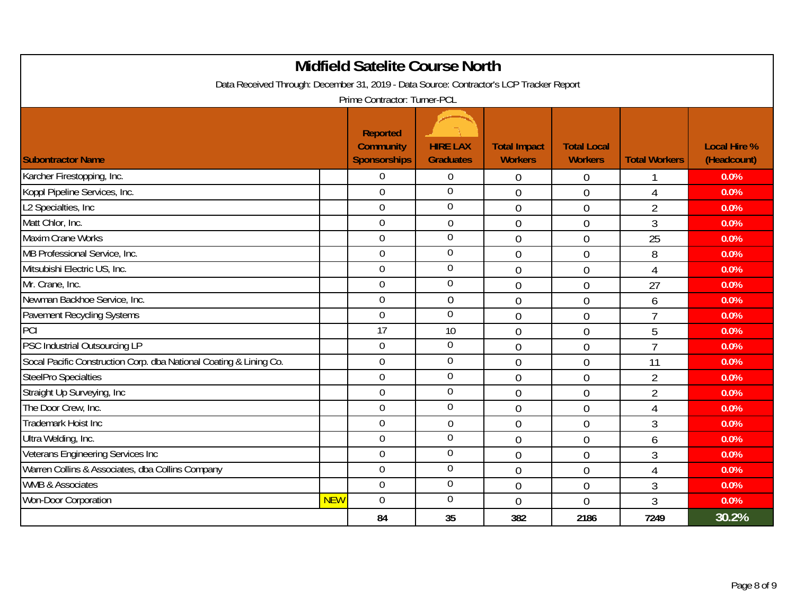|                                                                                         |            | <b>Midfield Satelite Course North</b>                      |                                     |                                       |                                      |                      |                                    |
|-----------------------------------------------------------------------------------------|------------|------------------------------------------------------------|-------------------------------------|---------------------------------------|--------------------------------------|----------------------|------------------------------------|
| Data Received Through: December 31, 2019 - Data Source: Contractor's LCP Tracker Report |            |                                                            |                                     |                                       |                                      |                      |                                    |
|                                                                                         |            | Prime Contractor: Turner-PCL                               |                                     |                                       |                                      |                      |                                    |
| <b>Subontractor Name</b>                                                                |            | <b>Reported</b><br><b>Community</b><br><b>Sponsorships</b> | <b>HIRE LAX</b><br><b>Graduates</b> | <b>Total Impact</b><br><b>Workers</b> | <b>Total Local</b><br><b>Workers</b> | <b>Total Workers</b> | <b>Local Hire %</b><br>(Headcount) |
| Karcher Firestopping, Inc.                                                              |            | $\overline{0}$                                             | $\mathbf 0$                         | $\overline{0}$                        | 0                                    |                      | 0.0%                               |
| Koppl Pipeline Services, Inc.                                                           |            | $\overline{0}$                                             | $\overline{0}$                      | $\mathbf 0$                           | 0                                    | 4                    | 0.0%                               |
| L2 Specialties, Inc                                                                     |            | $\overline{0}$                                             | $\mathbf 0$                         | $\overline{0}$                        | $\overline{0}$                       | $\overline{2}$       | 0.0%                               |
| Matt Chlor, Inc.                                                                        |            | $\overline{0}$                                             | $\overline{0}$                      | $\mathbf 0$                           | 0                                    | 3                    | 0.0%                               |
| <b>Maxim Crane Works</b>                                                                |            | $\overline{0}$                                             | $\mathbf 0$                         | $\overline{0}$                        | 0                                    | 25                   | 0.0%                               |
| MB Professional Service, Inc.                                                           |            | $\overline{0}$                                             | $\mathbf 0$                         | $\overline{0}$                        | 0                                    | 8                    | 0.0%                               |
| Mitsubishi Electric US, Inc.                                                            |            | $\mathbf 0$                                                | $\boldsymbol{0}$                    | $\overline{0}$                        | 0                                    | $\overline{4}$       | 0.0%                               |
| Mr. Crane, Inc.                                                                         |            | $\overline{0}$                                             | $\mathbf 0$                         | $\overline{0}$                        | $\overline{0}$                       | 27                   | 0.0%                               |
| Newman Backhoe Service, Inc.                                                            |            | $\overline{0}$                                             | $\overline{0}$                      | $\mathbf 0$                           | 0                                    | 6                    | 0.0%                               |
| Pavement Recycling Systems                                                              |            | $\mathbf 0$                                                | $\overline{0}$                      | $\overline{0}$                        | 0                                    | $\overline{7}$       | 0.0%                               |
| PCI                                                                                     |            | 17                                                         | 10                                  | $\overline{0}$                        | 0                                    | 5                    | 0.0%                               |
| PSC Industrial Outsourcing LP                                                           |            | $\overline{0}$                                             | $\mathbf 0$                         | $\overline{0}$                        | $\mathbf 0$                          | $\overline{7}$       | 0.0%                               |
| Socal Pacific Construction Corp. dba National Coating & Lining Co.                      |            | $\overline{0}$                                             | $\mathbf 0$                         | $\overline{0}$                        | $\overline{0}$                       | 11                   | 0.0%                               |
| <b>SteelPro Specialties</b>                                                             |            | $\overline{0}$                                             | $\mathbf 0$                         | $\mathbf 0$                           | $\overline{0}$                       | $\overline{2}$       | 0.0%                               |
| Straight Up Surveying, Inc                                                              |            | $\mathbf 0$                                                | $\mathbf 0$                         | $\overline{0}$                        | 0                                    | $\overline{2}$       | 0.0%                               |
| The Door Crew, Inc.                                                                     |            | $\mathbf 0$                                                | $\mathbf 0$                         | $\mathbf 0$                           | 0                                    | $\overline{4}$       | 0.0%                               |
| Trademark Hoist Inc                                                                     |            | $\overline{0}$                                             | $\mathbf 0$                         | $\overline{0}$                        | $\mathbf 0$                          | 3                    | 0.0%                               |
| Ultra Welding, Inc.                                                                     |            | $\overline{0}$                                             | $\mathbf 0$                         | $\overline{0}$                        | $\overline{0}$                       | 6                    | 0.0%                               |
| Veterans Engineering Services Inc                                                       |            | $\overline{0}$                                             | $\mathbf 0$                         | $\overline{0}$                        | 0                                    | 3                    | 0.0%                               |
| Warren Collins & Associates, dba Collins Company                                        |            | $\overline{0}$                                             | $\boldsymbol{0}$                    | $\overline{0}$                        | 0                                    | 4                    | 0.0%                               |
| <b>WMB &amp; Associates</b>                                                             |            | $\overline{0}$                                             | $\boldsymbol{0}$                    | $\mathbf 0$                           | 0                                    | 3                    | 0.0%                               |
| <b>Won-Door Corporation</b>                                                             | <b>NEW</b> | $\overline{0}$                                             | $\mathbf 0$                         | $\overline{0}$                        | $\overline{0}$                       | 3                    | 0.0%                               |
|                                                                                         |            | 84                                                         | 35                                  | 382                                   | 2186                                 | 7249                 | 30.2%                              |